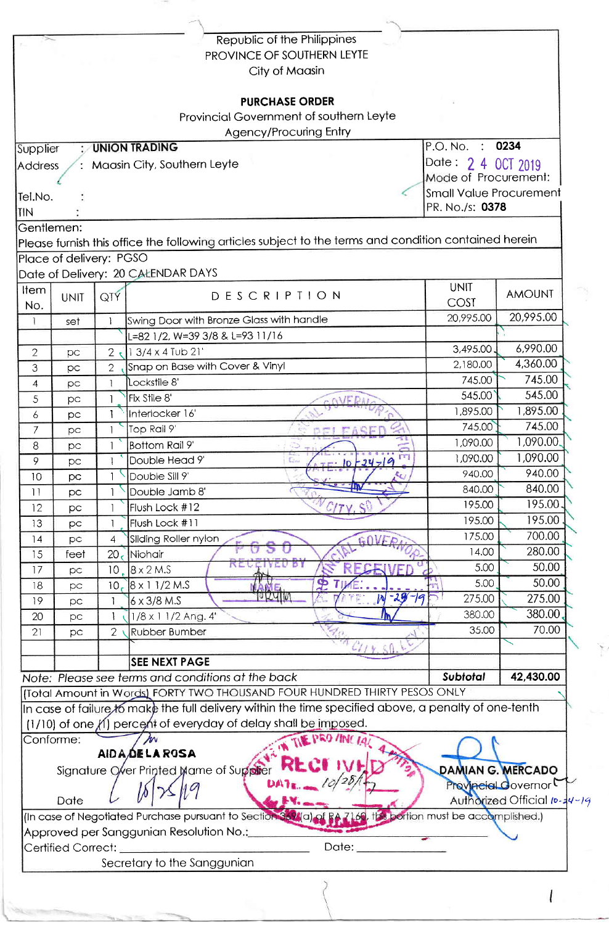|                                                |                         |                                                   | Republic of the Philippines                                                                           |                                         |                              |
|------------------------------------------------|-------------------------|---------------------------------------------------|-------------------------------------------------------------------------------------------------------|-----------------------------------------|------------------------------|
|                                                |                         |                                                   | PROVINCE OF SOUTHERN LEYTE                                                                            |                                         |                              |
|                                                |                         |                                                   | City of Maasin                                                                                        |                                         |                              |
|                                                |                         |                                                   |                                                                                                       |                                         |                              |
|                                                |                         |                                                   | <b>PURCHASE ORDER</b>                                                                                 |                                         |                              |
|                                                |                         |                                                   | Provincial Government of southern Leyte                                                               |                                         |                              |
|                                                |                         |                                                   | Agency/Procuring Entry                                                                                |                                         |                              |
| P.O. No. : 0234<br>: UNION TRADING<br>Supplier |                         |                                                   |                                                                                                       |                                         |                              |
| Address                                        |                         |                                                   | Maasin City, Southern Leyte                                                                           | Date: 2 4 0CT 2019                      |                              |
|                                                |                         |                                                   |                                                                                                       | Mode of Procurement:                    |                              |
| Tel.No.                                        |                         | <b>Small Value Procurement</b><br>PR. No./s: 0378 |                                                                                                       |                                         |                              |
| <b>TIN</b>                                     |                         |                                                   |                                                                                                       |                                         |                              |
|                                                | Gentlemen:              |                                                   |                                                                                                       |                                         |                              |
|                                                |                         |                                                   | Please furnish this office the following articles subject to the terms and condition contained herein |                                         |                              |
|                                                | Place of delivery: PGSO |                                                   |                                                                                                       |                                         |                              |
|                                                |                         |                                                   | Date of Delivery: 20 CALENDAR DAYS                                                                    |                                         |                              |
| Item                                           | <b>UNIT</b>             | QTY                                               | <b>DESCRIPTION</b>                                                                                    | <b>UNIT</b><br>COST                     | <b>AMOUNT</b>                |
| No.                                            |                         |                                                   |                                                                                                       | 20,995.00                               | 20,995.00                    |
| $\mathbf{I}$                                   | set                     | $\mathbf{I}$                                      | Swing Door with Bronze Glass with handle                                                              |                                         |                              |
|                                                |                         |                                                   | =82 1/2, W=39 3/8 & L=93 11/16                                                                        | 3,495.00                                | 6,990.00                     |
| $\overline{2}$                                 | рc                      | 2 <sub>1</sub>                                    | 13/4 x 4 Tub 21'                                                                                      | 2,180.00                                | 4,360.00                     |
| 3                                              | pc                      | $\overline{2}$                                    | Snap on Base with Cover & Vinyl<br>Lockstile 8'                                                       | 745.00                                  | 745.00                       |
| $\overline{4}$                                 | pc                      |                                                   | Fix Stile 8'                                                                                          | 545.00                                  | 545.00                       |
| 5                                              | pc                      |                                                   | Interlocker 16'                                                                                       | 1,895.00                                | 1,895.00                     |
| 6                                              | pc                      |                                                   | Top Rail 9'                                                                                           | 745.00                                  | 745.00                       |
| 7                                              | pc                      |                                                   | DEI FASE                                                                                              | 1,090.00                                | 1,090.00.                    |
| 8                                              | рc                      |                                                   | Bottom Rail 9<br>m<br>Double Head 9'                                                                  | 1,090.00                                | 1,090.00                     |
| 9.                                             | pс                      |                                                   | $-10 - 24 - 9$<br>Double Sill 9'                                                                      | 940.00                                  | 940.00                       |
| 10<br>11                                       | рc                      |                                                   | ш<br>Double Jamb 8'                                                                                   | 840.00                                  | 840.00                       |
| 12                                             | pc                      |                                                   | Flush Lock #12                                                                                        | 195.00                                  | 195.00                       |
| 13                                             | рc                      |                                                   | Flush Lock #11                                                                                        | 195.00                                  | 195.00                       |
| 14                                             | pc                      | 4                                                 | Sliding Roller nylon                                                                                  | 175.00                                  | 700.00                       |
| 15                                             | pc<br>feet              | 20 <sub>5</sub>                                   | Niohair                                                                                               | 14.00                                   | 280.00                       |
| 17                                             | pc                      | 10 <sup>°</sup>                                   | D.<br>$8 \times 2$ M.S                                                                                | 5.00                                    | 50.00                        |
| 18                                             | pс                      | 10 <sub>r</sub>                                   | $8 \times 11/2$ M.S                                                                                   | 5.00                                    | 50.00                        |
| 19                                             | рc                      |                                                   | $-29 - 99$<br>W<br>$6 \times 3/8$ M.S                                                                 | 275.00                                  | 275.00                       |
| 20                                             | рc                      |                                                   | 1/8 x 1 1/2 Ang. 4'                                                                                   | 380.00                                  | 380.00                       |
| 21                                             | pс                      | $\overline{2}$                                    | <b>Rubber Bumber</b>                                                                                  | 35.00                                   | 70.00                        |
|                                                |                         |                                                   |                                                                                                       |                                         |                              |
|                                                |                         |                                                   | <b>SEE NEXT PAGE</b>                                                                                  |                                         |                              |
|                                                |                         |                                                   | Note: Please see terms and conditions at the back                                                     | Subtotal                                | 42,430.00                    |
|                                                |                         |                                                   | (Total Amount in Words) FORTY TWO THOUSAND FOUR HUNDRED THIRTY PESOS ONLY                             |                                         |                              |
|                                                |                         |                                                   | In case of failure, to make the full delivery within the time specified above, a penalty of one-tenth |                                         |                              |
|                                                |                         |                                                   | (1/10) of one (1) percent of everyday of delay shall be imposed.                                      |                                         |                              |
|                                                | Conforme:               |                                                   | <b>E PRO /INF</b>                                                                                     |                                         |                              |
|                                                |                         |                                                   | <b>AIDA DELA ROSA</b>                                                                                 |                                         |                              |
|                                                |                         |                                                   | Signature Over Printed Mame of Suppler                                                                |                                         | DAMIAN G. MERCADO            |
|                                                |                         |                                                   |                                                                                                       |                                         | Provincial Covernor          |
|                                                | Date                    |                                                   |                                                                                                       |                                         | Authorized Official In-14-19 |
|                                                |                         |                                                   | (In case of Negotiated Purchase pursuant to Section 369/(a) of RA                                     | 60, this portion must be accomplished.) |                              |
|                                                |                         |                                                   | Approved per Sanggunian Resolution No.:_                                                              |                                         |                              |
|                                                | Certified Correct:      |                                                   | Date:                                                                                                 |                                         |                              |
|                                                |                         |                                                   |                                                                                                       |                                         |                              |
|                                                |                         |                                                   | Secretary to the Sanggunian                                                                           |                                         |                              |